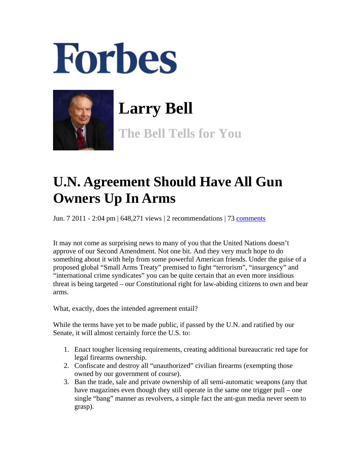## Forbes



## **Larry Bell**

**The Bell Tells for You** 

## **U.N. Agreement Should Have All Gun Owners Up In Arms**

Jun. 7 2011 - 2:04 pm | 648,271 views | 2 recommendations | 73 comments

It may not come as surprising news to many of you that the United Nations doesn't approve of our Second Amendment. Not one bit. And they very much hope to do something about it with help from some powerful American friends. Under the guise of a proposed global "Small Arms Treaty" premised to fight "terrorism", "insurgency" and "international crime syndicates" you can be quite certain that an even more insidious threat is being targeted – our Constitutional right for law-abiding citizens to own and bear arms.

What, exactly, does the intended agreement entail?

While the terms have yet to be made public, if passed by the U.N. and ratified by our Senate, it will almost certainly force the U.S. to:

- 1. Enact tougher licensing requirements, creating additional bureaucratic red tape for legal firearms ownership.
- 2. Confiscate and destroy all "unauthorized" civilian firearms (exempting those owned by our government of course).
- 3. Ban the trade, sale and private ownership of all semi-automatic weapons (any that have magazines even though they still operate in the same one trigger pull – one single "bang" manner as revolvers, a simple fact the ant-gun media never seem to grasp).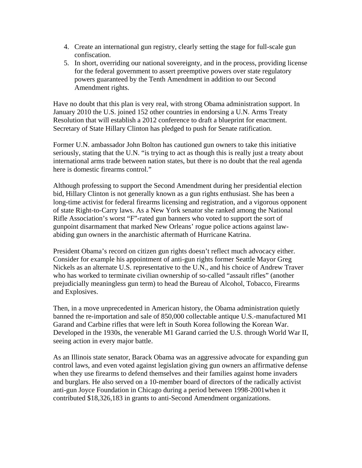- 4. Create an international gun registry, clearly setting the stage for full-scale gun confiscation.
- 5. In short, overriding our national sovereignty, and in the process, providing license for the federal government to assert preemptive powers over state regulatory powers guaranteed by the Tenth Amendment in addition to our Second Amendment rights.

Have no doubt that this plan is very real, with strong Obama administration support. In January 2010 the U.S. joined 152 other countries in endorsing a U.N. Arms Treaty Resolution that will establish a 2012 conference to draft a blueprint for enactment. Secretary of State Hillary Clinton has pledged to push for Senate ratification.

Former U.N. ambassador John Bolton has cautioned gun owners to take this initiative seriously, stating that the U.N. "is trying to act as though this is really just a treaty about international arms trade between nation states, but there is no doubt that the real agenda here is domestic firearms control."

Although professing to support the Second Amendment during her presidential election bid, Hillary Clinton is not generally known as a gun rights enthusiast. She has been a long-time activist for federal firearms licensing and registration, and a vigorous opponent of state Right-to-Carry laws. As a New York senator she ranked among the National Rifle Association's worst "F"-rated gun banners who voted to support the sort of gunpoint disarmament that marked New Orleans' rogue police actions against lawabiding gun owners in the anarchistic aftermath of Hurricane Katrina.

President Obama's record on citizen gun rights doesn't reflect much advocacy either. Consider for example his appointment of anti-gun rights former Seattle Mayor Greg Nickels as an alternate U.S. representative to the U.N., and his choice of Andrew Traver who has worked to terminate civilian ownership of so-called "assault rifles" (another prejudicially meaningless gun term) to head the Bureau of Alcohol, Tobacco, Firearms and Explosives.

Then, in a move unprecedented in American history, the Obama administration quietly banned the re-importation and sale of 850,000 collectable antique U.S.-manufactured M1 Garand and Carbine rifles that were left in South Korea following the Korean War. Developed in the 1930s, the venerable M1 Garand carried the U.S. through World War II, seeing action in every major battle.

As an Illinois state senator, Barack Obama was an aggressive advocate for expanding gun control laws, and even voted against legislation giving gun owners an affirmative defense when they use firearms to defend themselves and their families against home invaders and burglars. He also served on a 10-member board of directors of the radically activist anti-gun Joyce Foundation in Chicago during a period between 1998-2001when it contributed \$18,326,183 in grants to anti-Second Amendment organizations.